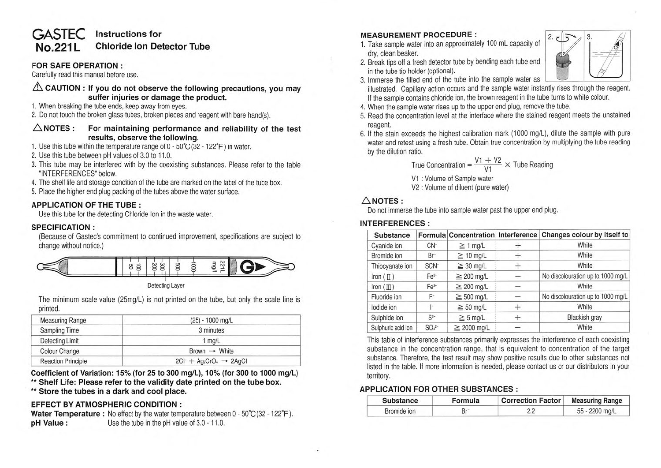# GASTEC Instructions for<br>**No.221L** Chloride lon Det **Chloride Ion Detector Tube**

# **FOR SAFE OPERATION** :

Carefully read this manual before use.

# $\triangle$  CAUTION : If you do not observe the following precautions, you may **suffer injuries or damage the product.**

- 1. When breaking the tube ends, keep away from eyes.
- 2. Do not touch the broken glass tubes, broken pieces and reagent with bare hand(s).

### $\triangle$ NOTES: For maintaining performance and reliability of the test **results, observe the following.**

- 1. Use this tube within the temperature range of O 50°C (32 122°F) in water.
- 2. Use this tube between pH values of 3.0 to 11.0.
- 3. This tube may be interfered with by the coexisting substances. Please refer to the table "INTERFERENCES" below.
- 4. The shelf life and storage condition of the tube are marked on the label of the tube box.
- 5. Place the higher end plug packing of the tubes above the water surface.

### **APPLICATION OF THE TUBE** :

Use this tube for the detecting Chloride Ion in the waste water.

### **SPECIFICATION** :

(Because of Gastec's commitment to continued improvement, specifications are subject to change without notice.)



Detecting Layer

The minimum scale value (25mg/L) is not printed on the tube, but only the scale line is printed.

| <b>Measuring Range</b>    | $(25) - 1000$ mg/L                  |  |  |
|---------------------------|-------------------------------------|--|--|
| Sampling Time             | 3 minutes                           |  |  |
| <b>Detecting Limit</b>    | $1$ mg/L                            |  |  |
| Colour Change             | Brown $\rightarrow$ White           |  |  |
| <b>Reaction Principle</b> | $2CI - Aq_2CrO_4 \rightarrow 2AqCl$ |  |  |

**Coefficient of Variation: 15% (tor 25 to 300 mg/L), 10°/o (tor 300 to 1000 mg/L)** 

- \*\* Shelf Life: Please refer to the validity date printed on the tube box.
- •• **Store the tubes in a dark and cool place.**

# **EFFECT BY ATMOSPHERIC CONDITION** :

**Water Temperature :** No effect by the water temperature between  $0 - 50^{\circ}C(32 - 122^{\circ}F)$ . **pH Value :** Use the tube in the pH value of 3.0 - 11.0.

**MEASUREMENT PROCEDURE :** 1. Take sample water into an approximately 100 mL capacity of dry, clean beaker.



- 2. Break tips off a fresh detector tube by bending each tube end in the tube tip holder (optional).
- 3. Immerse the filled end of the tube into the sample water as illustrated. Capillary action occurs and the sample water instantly rises through the reagent. If the sample contains chloride ion, the brown reagent in the tube turns to white colour.
- 4. When the sample water rises up to the upper end plug, remove the tube.
- 5. Read the concentration level at the interface where the stained reagent meets the unstained reagent.
- 6. If the stain exceeds the highest calibration mark (1000 mg/L), dilute the sample with pure water and retest using a fresh tube. Obtain true concentration by multiplying the tube reading by the dilution ratio.

True Concentration =  $\frac{V1 + V2}{V1} \times$  Tube Reading

V1 : Volume of Sample water

V2 : Volume of diluent (pure water)

# $\triangle$  NOTES:

Do not immerse the tube into sample water past the upper end plug.

### **INTERFERENCES** :

| Substance            |                  |                  |      | Formula Concentration Interference Changes colour by itself to |  |
|----------------------|------------------|------------------|------|----------------------------------------------------------------|--|
| Cyanide ion          | CN-              | $\geq$ 1 mg/L    |      | White                                                          |  |
| Bromide ion          | Br <sup>-</sup>  | $\geq 10$ mg/L   | ÷    | White                                                          |  |
| Thiocyanate ion      | SCN <sup>-</sup> | $\geq 30$ mg/L   | $^+$ | White                                                          |  |
| Iron $(\Pi)$         | Fe <sup>2+</sup> | $\geq 200$ mg/L  | -    | No discolouration up to 1000 mg/L                              |  |
| Iron $(\mathbb{II})$ | Fe <sup>3+</sup> | $\geq$ 200 mg/L  |      | White                                                          |  |
| Fluoride ion         | F                | $\geq 500$ mg/L  |      | No discolouration up to 1000 mg/L                              |  |
| lodide ion           | ŀ                | $\geq 50$ mg/L   | $^+$ | White                                                          |  |
| Sulphide ion         | S <sup>2</sup>   | $\geq$ 5 mg/L    | ÷    | <b>Blackish gray</b>                                           |  |
| Sulphuric acid ion   | $SO_4^{2-}$      | $\geq 2000$ ma/L | -    | White                                                          |  |

This table of interference substances primarily expresses the interference of each coexisting substance in the concentration range, that is equivalent to concentration of the target substance. Therefore, the test result may show positive results due to other substances not listed in the table. If more information is needed, please contact us or our distributors in your territory.

# **APPLICATION FOR OTHER SUBSTANCES** :

| Substance   | Formula         | <b>Correction Factor</b> | <b>Measuring Range</b> |
|-------------|-----------------|--------------------------|------------------------|
| Bromide ion | Br <sup>.</sup> | 2.2                      | 55 - 2200 mg/L         |